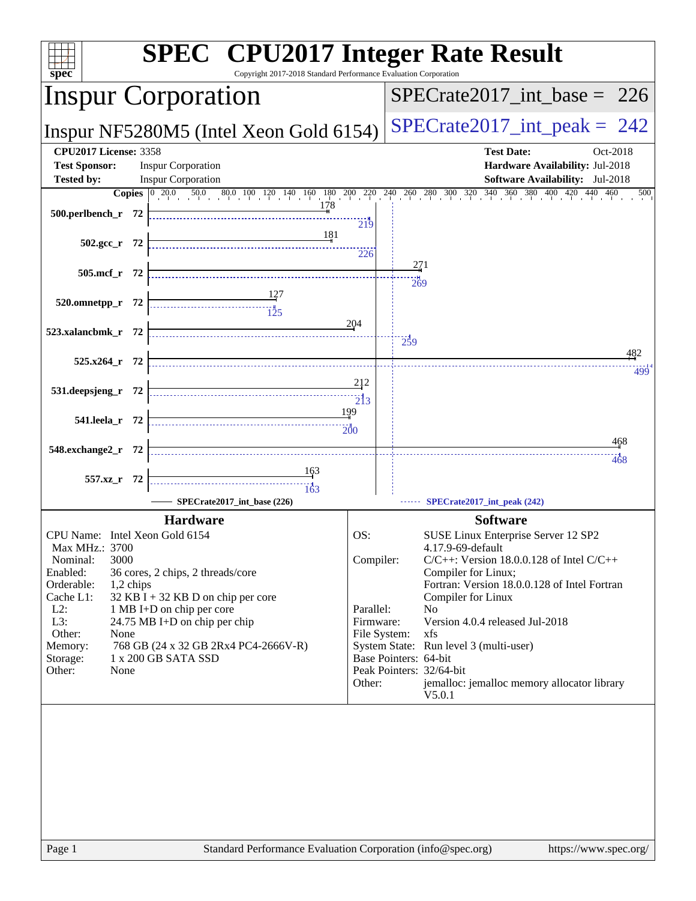| <b>SPEC<sup>®</sup></b> CPU2017 Integer Rate Result<br>Copyright 2017-2018 Standard Performance Evaluation Corporation<br>spec <sup>®</sup>                                                                     |                              |                                                                                                            |  |  |  |
|-----------------------------------------------------------------------------------------------------------------------------------------------------------------------------------------------------------------|------------------------------|------------------------------------------------------------------------------------------------------------|--|--|--|
| <b>Inspur Corporation</b>                                                                                                                                                                                       |                              | $SPECTate2017$ _int_base = 226                                                                             |  |  |  |
| Inspur NF5280M5 (Intel Xeon Gold 6154)                                                                                                                                                                          |                              | $SPECrate2017\_int\_peak = 242$                                                                            |  |  |  |
| <b>CPU2017 License: 3358</b><br><b>Test Sponsor:</b><br><b>Inspur Corporation</b><br><b>Tested by:</b><br><b>Inspur Corporation</b>                                                                             |                              | <b>Test Date:</b><br>Oct-2018<br>Hardware Availability: Jul-2018<br><b>Software Availability:</b> Jul-2018 |  |  |  |
|                                                                                                                                                                                                                 |                              | 500                                                                                                        |  |  |  |
| <b>Copies</b> $\begin{bmatrix} 0 & 20.0 & 50.0 & 80.0 & 100 & 120 & 140 & 160 & 180 & 200 & 220 & 240 & 260 & 280 & 300 & 320 & 340 & 360 & 380 & 400 & 420 & 440 & 460 \end{bmatrix}$<br>$500.$ perlbench r 72 | 219                          |                                                                                                            |  |  |  |
| 181<br>$502.\text{gcc r}$ 72                                                                                                                                                                                    | 226                          |                                                                                                            |  |  |  |
| 505.mcf_r 72                                                                                                                                                                                                    |                              | 271<br>269                                                                                                 |  |  |  |
| 520.omnetpp_r 72                                                                                                                                                                                                | 204                          |                                                                                                            |  |  |  |
| 523.xalancbmk_r 72                                                                                                                                                                                              | 259                          | 482                                                                                                        |  |  |  |
| 525.x264_r 72                                                                                                                                                                                                   | 212                          | 499                                                                                                        |  |  |  |
| 531.deepsjeng_r 72                                                                                                                                                                                              | $\overline{2}$ <sub>13</sub> |                                                                                                            |  |  |  |
| 199<br>541.leela r 72                                                                                                                                                                                           | 200                          |                                                                                                            |  |  |  |
| 548.exchange2_r 72                                                                                                                                                                                              |                              | 468<br>468                                                                                                 |  |  |  |
| <u>163</u><br>557.xz_r 72                                                                                                                                                                                       |                              |                                                                                                            |  |  |  |
| SPECrate2017_int_base (226)                                                                                                                                                                                     |                              | SPECrate2017_int_peak (242)                                                                                |  |  |  |
| <b>Hardware</b>                                                                                                                                                                                                 |                              | <b>Software</b>                                                                                            |  |  |  |
| CPU Name: Intel Xeon Gold 6154                                                                                                                                                                                  | OS:                          | SUSE Linux Enterprise Server 12 SP2                                                                        |  |  |  |
| Max MHz.: 3700                                                                                                                                                                                                  |                              | 4.17.9-69-default                                                                                          |  |  |  |
| 3000<br>Nominal:                                                                                                                                                                                                | Compiler:                    | $C/C++$ : Version 18.0.0.128 of Intel $C/C++$                                                              |  |  |  |
| Enabled:<br>36 cores, 2 chips, 2 threads/core<br>Orderable:                                                                                                                                                     |                              | Compiler for Linux;<br>Fortran: Version 18.0.0.128 of Intel Fortran                                        |  |  |  |
| 1,2 chips<br>$32$ KB I + 32 KB D on chip per core<br>Cache L1:                                                                                                                                                  |                              | Compiler for Linux                                                                                         |  |  |  |
| $L2$ :<br>1 MB I+D on chip per core                                                                                                                                                                             | Parallel:                    | N <sub>0</sub>                                                                                             |  |  |  |
| L3:<br>24.75 MB I+D on chip per chip                                                                                                                                                                            | Firmware:                    | Version 4.0.4 released Jul-2018                                                                            |  |  |  |
| Other:<br>None                                                                                                                                                                                                  | File System:                 | xfs                                                                                                        |  |  |  |
| 768 GB (24 x 32 GB 2Rx4 PC4-2666V-R)<br>Memory:<br>1 x 200 GB SATA SSD<br>Storage:                                                                                                                              | Base Pointers: 64-bit        | System State: Run level 3 (multi-user)                                                                     |  |  |  |
| Other:<br>None                                                                                                                                                                                                  | Peak Pointers: 32/64-bit     |                                                                                                            |  |  |  |
|                                                                                                                                                                                                                 | Other:                       | jemalloc: jemalloc memory allocator library<br>V5.0.1                                                      |  |  |  |
|                                                                                                                                                                                                                 |                              |                                                                                                            |  |  |  |
|                                                                                                                                                                                                                 |                              |                                                                                                            |  |  |  |
|                                                                                                                                                                                                                 |                              |                                                                                                            |  |  |  |
|                                                                                                                                                                                                                 |                              |                                                                                                            |  |  |  |
|                                                                                                                                                                                                                 |                              |                                                                                                            |  |  |  |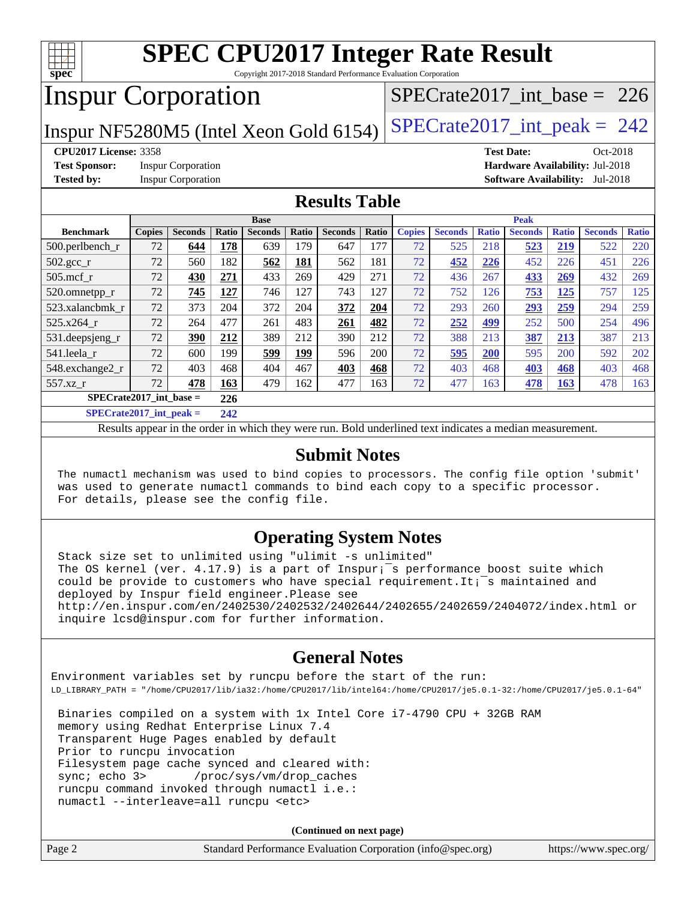

Copyright 2017-2018 Standard Performance Evaluation Corporation

## Inspur Corporation

[SPECrate2017\\_int\\_base =](http://www.spec.org/auto/cpu2017/Docs/result-fields.html#SPECrate2017intbase) 226

Inspur NF5280M5 (Intel Xeon Gold 6154)  $SPECrate2017\_int\_peak = 242$ 

**[Test Sponsor:](http://www.spec.org/auto/cpu2017/Docs/result-fields.html#TestSponsor)** Inspur Corporation **[Hardware Availability:](http://www.spec.org/auto/cpu2017/Docs/result-fields.html#HardwareAvailability)** Jul-2018

**[CPU2017 License:](http://www.spec.org/auto/cpu2017/Docs/result-fields.html#CPU2017License)** 3358 **[Test Date:](http://www.spec.org/auto/cpu2017/Docs/result-fields.html#TestDate)** Oct-2018 **[Tested by:](http://www.spec.org/auto/cpu2017/Docs/result-fields.html#Testedby)** Inspur Corporation **[Software Availability:](http://www.spec.org/auto/cpu2017/Docs/result-fields.html#SoftwareAvailability)** Jul-2018

#### **[Results Table](http://www.spec.org/auto/cpu2017/Docs/result-fields.html#ResultsTable)**

|                              | <b>Base</b>   |                |               |                |             |                | <b>Peak</b> |               |                |              |                |              |                |              |
|------------------------------|---------------|----------------|---------------|----------------|-------------|----------------|-------------|---------------|----------------|--------------|----------------|--------------|----------------|--------------|
| <b>Benchmark</b>             | <b>Copies</b> | <b>Seconds</b> | Ratio         | <b>Seconds</b> | Ratio       | <b>Seconds</b> | Ratio       | <b>Copies</b> | <b>Seconds</b> | <b>Ratio</b> | <b>Seconds</b> | <b>Ratio</b> | <b>Seconds</b> | <b>Ratio</b> |
| $500.$ perlbench_r           | 72            | 644            | 178           | 639            | 179         | 647            | 177         | 72            | 525            | 218          | 523            | 219          | 522            | 220          |
| $502.\text{gcc}_{r}$         | 72            | 560            | 182           | 562            | 181         | 562            | 181         | 72            | 452            | 226          | 452            | 226          | 451            | 226          |
| $505$ .mcf r                 | 72            | 430            | 271           | 433            | 269         | 429            | 271         | 72            | 436            | 267          | 433            | 269          | 432            | 269          |
| 520.omnetpp_r                | 72            | 745            | 127           | 746            | 127         | 743            | 127         | 72            | 752            | 126          | 753            | 125          | 757            | 125          |
| 523.xalancbmk r              | 72            | 373            | 204           | 372            | 204         | 372            | 204         | 72            | 293            | 260          | 293            | 259          | 294            | 259          |
| 525.x264 r                   | 72            | 264            | 477           | 261            | 483         | 261            | 482         | 72            | 252            | 499          | 252            | 500          | 254            | 496          |
| 531.deepsjeng_r              | 72            | 390            | 212           | 389            | 212         | 390            | 212         | 72            | 388            | 213          | 387            | 213          | 387            | 213          |
| 541.leela_r                  | 72            | 600            | 199           | 599            | <u> 199</u> | 596            | 200         | 72            | 595            | 200          | 595            | 200          | 592            | 202          |
| 548.exchange2_r              | 72            | 403            | 468           | 404            | 467         | 403            | 468         | 72            | 403            | 468          | 403            | 468          | 403            | 468          |
| 557.xz                       | 72            | 478            | 163           | 479            | 162         | 477            | 163         | 72            | 477            | 163          | 478            | <u>163</u>   | 478            | 163          |
| $SPECrate2017$ int base =    |               |                | 226           |                |             |                |             |               |                |              |                |              |                |              |
| $CDDLO \rightarrow A04B + I$ |               | . .            | $\sim$ $\sim$ |                |             |                |             |               |                |              |                |              |                |              |

**[SPECrate2017\\_int\\_peak =](http://www.spec.org/auto/cpu2017/Docs/result-fields.html#SPECrate2017intpeak) 242**

Results appear in the [order in which they were run](http://www.spec.org/auto/cpu2017/Docs/result-fields.html#RunOrder). Bold underlined text [indicates a median measurement](http://www.spec.org/auto/cpu2017/Docs/result-fields.html#Median).

#### **[Submit Notes](http://www.spec.org/auto/cpu2017/Docs/result-fields.html#SubmitNotes)**

 The numactl mechanism was used to bind copies to processors. The config file option 'submit' was used to generate numactl commands to bind each copy to a specific processor. For details, please see the config file.

#### **[Operating System Notes](http://www.spec.org/auto/cpu2017/Docs/result-fields.html#OperatingSystemNotes)**

 Stack size set to unlimited using "ulimit -s unlimited" The OS kernel (ver. 4.17.9) is a part of Inspur;<sup>-</sup>s performance boost suite which could be provide to customers who have special requirement. It;<sup> $=$ </sup>s maintained and deployed by Inspur field engineer. Please see <http://en.inspur.com/en/2402530/2402532/2402644/2402655/2402659/2404072/index.html> or inquire lcsd@inspur.com for further information.

#### **[General Notes](http://www.spec.org/auto/cpu2017/Docs/result-fields.html#GeneralNotes)**

Environment variables set by runcpu before the start of the run: LD\_LIBRARY\_PATH = "/home/CPU2017/lib/ia32:/home/CPU2017/lib/intel64:/home/CPU2017/je5.0.1-32:/home/CPU2017/je5.0.1-64"

 Binaries compiled on a system with 1x Intel Core i7-4790 CPU + 32GB RAM memory using Redhat Enterprise Linux 7.4 Transparent Huge Pages enabled by default Prior to runcpu invocation Filesystem page cache synced and cleared with: sync; echo 3> /proc/sys/vm/drop\_caches runcpu command invoked through numactl i.e.: numactl --interleave=all runcpu <etc>

**(Continued on next page)**

| Page 2 | Standard Performance Evaluation Corporation (info@spec.org) | https://www.spec.org/ |
|--------|-------------------------------------------------------------|-----------------------|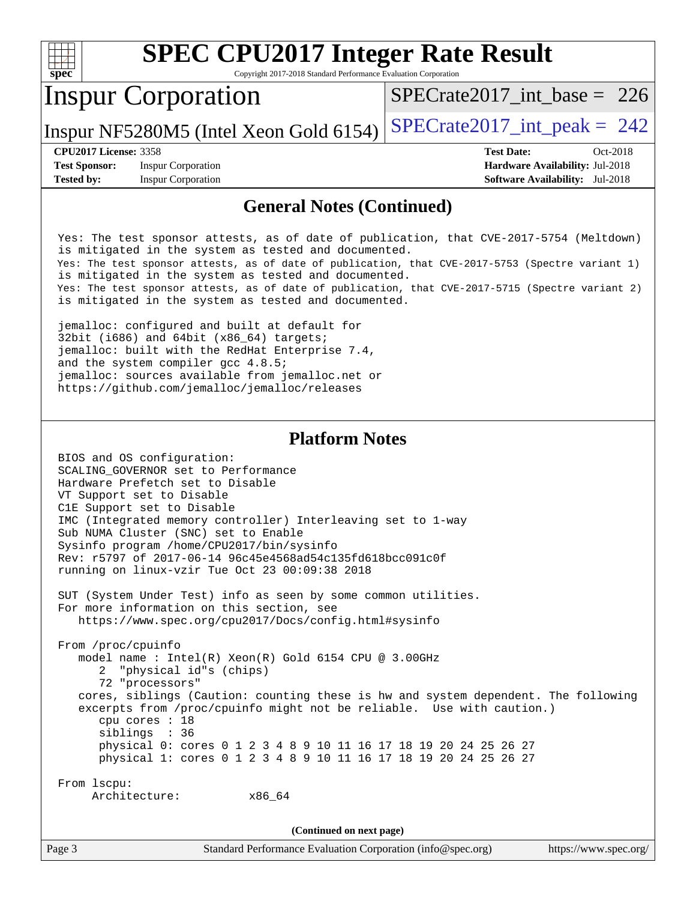| spec <sup>®</sup>                         | <b>SPEC CPU2017 Integer Rate Result</b><br>Copyright 2017-2018 Standard Performance Evaluation Corporation                                                                                                                                                                                                                                                                                                                                                                                                                                                                                                                                                                                                                                                         |                                                                                                     |
|-------------------------------------------|--------------------------------------------------------------------------------------------------------------------------------------------------------------------------------------------------------------------------------------------------------------------------------------------------------------------------------------------------------------------------------------------------------------------------------------------------------------------------------------------------------------------------------------------------------------------------------------------------------------------------------------------------------------------------------------------------------------------------------------------------------------------|-----------------------------------------------------------------------------------------------------|
|                                           | <b>Inspur Corporation</b>                                                                                                                                                                                                                                                                                                                                                                                                                                                                                                                                                                                                                                                                                                                                          | $SPECrate2017\_int\_base = 226$                                                                     |
|                                           | Inspur NF5280M5 (Intel Xeon Gold 6154)                                                                                                                                                                                                                                                                                                                                                                                                                                                                                                                                                                                                                                                                                                                             | $SPECrate2017\_int\_peak = 242$                                                                     |
| <b>Test Sponsor:</b><br><b>Tested by:</b> | <b>CPU2017 License: 3358</b><br><b>Inspur Corporation</b><br><b>Inspur Corporation</b>                                                                                                                                                                                                                                                                                                                                                                                                                                                                                                                                                                                                                                                                             | <b>Test Date:</b><br>Oct-2018<br>Hardware Availability: Jul-2018<br>Software Availability: Jul-2018 |
|                                           | <b>General Notes (Continued)</b>                                                                                                                                                                                                                                                                                                                                                                                                                                                                                                                                                                                                                                                                                                                                   |                                                                                                     |
|                                           | Yes: The test sponsor attests, as of date of publication, that CVE-2017-5754 (Meltdown)<br>is mitigated in the system as tested and documented.<br>Yes: The test sponsor attests, as of date of publication, that CVE-2017-5753 (Spectre variant 1)<br>is mitigated in the system as tested and documented.<br>Yes: The test sponsor attests, as of date of publication, that CVE-2017-5715 (Spectre variant 2)<br>is mitigated in the system as tested and documented.<br>jemalloc: configured and built at default for<br>32bit (i686) and 64bit (x86_64) targets;<br>jemalloc: built with the RedHat Enterprise 7.4,<br>and the system compiler gcc 4.8.5;<br>jemalloc: sources available from jemalloc.net or<br>https://github.com/jemalloc/jemalloc/releases |                                                                                                     |
|                                           | <b>Platform Notes</b>                                                                                                                                                                                                                                                                                                                                                                                                                                                                                                                                                                                                                                                                                                                                              |                                                                                                     |
|                                           | BIOS and OS configuration:<br>SCALING_GOVERNOR set to Performance<br>Hardware Prefetch set to Disable<br>VT Support set to Disable<br>ClE Support set to Disable<br>IMC (Integrated memory controller) Interleaving set to 1-way<br>Sub NUMA Cluster (SNC) set to Enable<br>Sysinfo program /home/CPU2017/bin/sysinfo<br>Rev: r5797 of 2017-06-14 96c45e4568ad54c135fd618bcc091c0f<br>running on linux-vzir Tue Oct 23 00:09:38 2018                                                                                                                                                                                                                                                                                                                               |                                                                                                     |
|                                           | SUT (System Under Test) info as seen by some common utilities.<br>For more information on this section, see<br>https://www.spec.org/cpu2017/Docs/config.html#sysinfo                                                                                                                                                                                                                                                                                                                                                                                                                                                                                                                                                                                               |                                                                                                     |
|                                           | From /proc/cpuinfo<br>model name : Intel(R) Xeon(R) Gold 6154 CPU @ 3.00GHz<br>2 "physical id"s (chips)<br>72 "processors"<br>cores, siblings (Caution: counting these is hw and system dependent. The following<br>excerpts from /proc/cpuinfo might not be reliable. Use with caution.)<br>cpu cores : 18<br>siblings : 36<br>physical 0: cores 0 1 2 3 4 8 9 10 11 16 17 18 19 20 24 25 26 27<br>physical 1: cores 0 1 2 3 4 8 9 10 11 16 17 18 19 20 24 25 26 27                                                                                                                                                                                                                                                                                               |                                                                                                     |

 From lscpu: Architecture: x86\_64

**(Continued on next page)**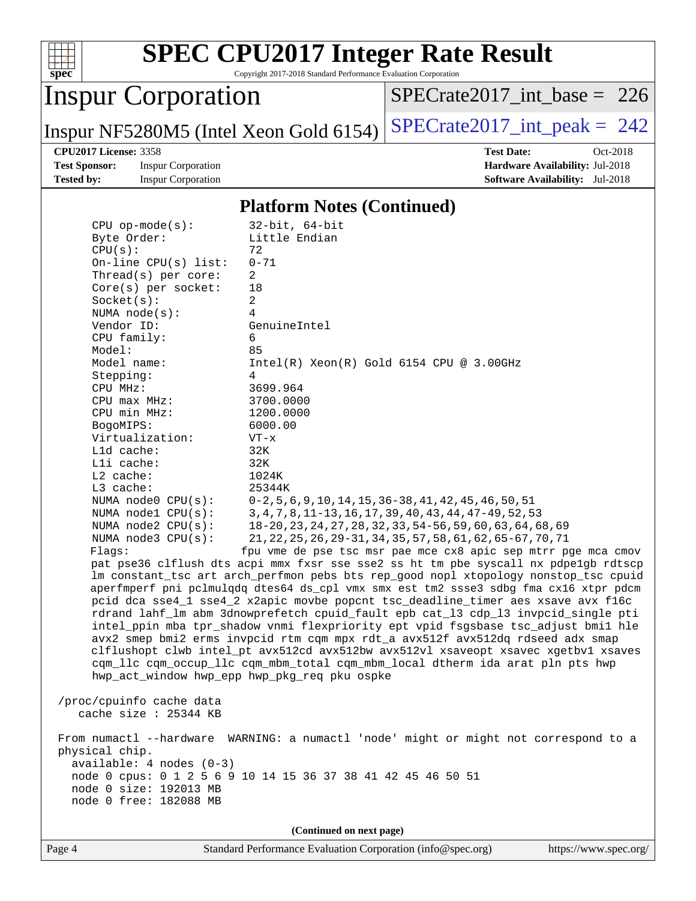

Copyright 2017-2018 Standard Performance Evaluation Corporation

## Inspur Corporation

[SPECrate2017\\_int\\_base =](http://www.spec.org/auto/cpu2017/Docs/result-fields.html#SPECrate2017intbase) 226

Inspur NF5280M5 (Intel Xeon Gold 6154)  $SPECrate2017\_int\_peak = 242$ 

**[Test Sponsor:](http://www.spec.org/auto/cpu2017/Docs/result-fields.html#TestSponsor)** Inspur Corporation **[Hardware Availability:](http://www.spec.org/auto/cpu2017/Docs/result-fields.html#HardwareAvailability)** Jul-2018 **[Tested by:](http://www.spec.org/auto/cpu2017/Docs/result-fields.html#Testedby)** Inspur Corporation **[Software Availability:](http://www.spec.org/auto/cpu2017/Docs/result-fields.html#SoftwareAvailability)** Jul-2018

**[CPU2017 License:](http://www.spec.org/auto/cpu2017/Docs/result-fields.html#CPU2017License)** 3358 **[Test Date:](http://www.spec.org/auto/cpu2017/Docs/result-fields.html#TestDate)** Oct-2018

#### **[Platform Notes \(Continued\)](http://www.spec.org/auto/cpu2017/Docs/result-fields.html#PlatformNotes)**

| $CPU$ op-mode( $s$ ):                        | $32$ -bit, $64$ -bit                                                                                                          |  |  |  |  |  |
|----------------------------------------------|-------------------------------------------------------------------------------------------------------------------------------|--|--|--|--|--|
| Byte Order:                                  | Little Endian                                                                                                                 |  |  |  |  |  |
| CPU(s):                                      | 72                                                                                                                            |  |  |  |  |  |
| On-line $CPU(s)$ list:                       | $0 - 71$<br>$\overline{2}$                                                                                                    |  |  |  |  |  |
| Thread(s) per core:<br>$Core(s)$ per socket: | 18                                                                                                                            |  |  |  |  |  |
| Socket(s):                                   | $\overline{a}$                                                                                                                |  |  |  |  |  |
| NUMA $node(s):$                              | 4                                                                                                                             |  |  |  |  |  |
| Vendor ID:                                   | GenuineIntel                                                                                                                  |  |  |  |  |  |
| CPU family:                                  | 6                                                                                                                             |  |  |  |  |  |
| Model:                                       | 85                                                                                                                            |  |  |  |  |  |
| Model name:                                  | $Intel(R) Xeon(R) Gold 6154 CPU @ 3.00GHz$                                                                                    |  |  |  |  |  |
| Stepping:                                    | 4                                                                                                                             |  |  |  |  |  |
| CPU MHz:                                     | 3699.964                                                                                                                      |  |  |  |  |  |
| CPU max MHz:                                 | 3700.0000                                                                                                                     |  |  |  |  |  |
| CPU min MHz:                                 | 1200.0000                                                                                                                     |  |  |  |  |  |
| BogoMIPS:                                    | 6000.00                                                                                                                       |  |  |  |  |  |
| Virtualization:                              | $VT - x$                                                                                                                      |  |  |  |  |  |
| L1d cache:                                   | 32K                                                                                                                           |  |  |  |  |  |
| Lli cache:<br>$L2$ cache:                    | 32K<br>1024K                                                                                                                  |  |  |  |  |  |
| L3 cache:                                    | 25344K                                                                                                                        |  |  |  |  |  |
| NUMA node0 CPU(s):                           | $0-2, 5, 6, 9, 10, 14, 15, 36-38, 41, 42, 45, 46, 50, 51$                                                                     |  |  |  |  |  |
| NUMA $node1$ $CPU(s):$                       | 3, 4, 7, 8, 11-13, 16, 17, 39, 40, 43, 44, 47-49, 52, 53                                                                      |  |  |  |  |  |
| NUMA node2 CPU(s):                           | 18-20, 23, 24, 27, 28, 32, 33, 54-56, 59, 60, 63, 64, 68, 69                                                                  |  |  |  |  |  |
| NUMA $node3$ CPU $(s)$ :                     | 21, 22, 25, 26, 29-31, 34, 35, 57, 58, 61, 62, 65-67, 70, 71                                                                  |  |  |  |  |  |
| Flagg:                                       | fpu vme de pse tsc msr pae mce cx8 apic sep mtrr pge mca cmov                                                                 |  |  |  |  |  |
|                                              | pat pse36 clflush dts acpi mmx fxsr sse sse2 ss ht tm pbe syscall nx pdpelgb rdtscp                                           |  |  |  |  |  |
|                                              | lm constant_tsc art arch_perfmon pebs bts rep_good nopl xtopology nonstop_tsc cpuid                                           |  |  |  |  |  |
|                                              | aperfmperf pni pclmulqdq dtes64 ds_cpl vmx smx est tm2 ssse3 sdbg fma cx16 xtpr pdcm                                          |  |  |  |  |  |
|                                              | pcid dca sse4_1 sse4_2 x2apic movbe popcnt tsc_deadline_timer aes xsave avx f16c                                              |  |  |  |  |  |
|                                              | rdrand lahf_lm abm 3dnowprefetch cpuid_fault epb cat_13 cdp_13 invpcid_single pti                                             |  |  |  |  |  |
|                                              | intel_ppin mba tpr_shadow vnmi flexpriority ept vpid fsgsbase tsc_adjust bmil hle                                             |  |  |  |  |  |
|                                              | avx2 smep bmi2 erms invpcid rtm cqm mpx rdt_a avx512f avx512dq rdseed adx smap                                                |  |  |  |  |  |
|                                              | clflushopt clwb intel_pt avx512cd avx512bw avx512vl xsaveopt xsavec xgetbvl xsaves                                            |  |  |  |  |  |
|                                              | cqm_llc cqm_occup_llc cqm_mbm_total cqm_mbm_local dtherm ida arat pln pts hwp<br>hwp_act_window hwp_epp hwp_pkg_req pku ospke |  |  |  |  |  |
|                                              |                                                                                                                               |  |  |  |  |  |
| /proc/cpuinfo cache data                     |                                                                                                                               |  |  |  |  |  |
| cache size $: 25344$ KB                      |                                                                                                                               |  |  |  |  |  |
|                                              |                                                                                                                               |  |  |  |  |  |
|                                              | From numactl --hardware WARNING: a numactl 'node' might or might not correspond to a                                          |  |  |  |  |  |
| physical chip.<br>$available: 4 nodes (0-3)$ |                                                                                                                               |  |  |  |  |  |
|                                              |                                                                                                                               |  |  |  |  |  |
| node 0 size: 192013 MB                       | node 0 cpus: 0 1 2 5 6 9 10 14 15 36 37 38 41 42 45 46 50 51                                                                  |  |  |  |  |  |
| node 0 free: 182088 MB                       |                                                                                                                               |  |  |  |  |  |
|                                              |                                                                                                                               |  |  |  |  |  |
| (Continued on next page)                     |                                                                                                                               |  |  |  |  |  |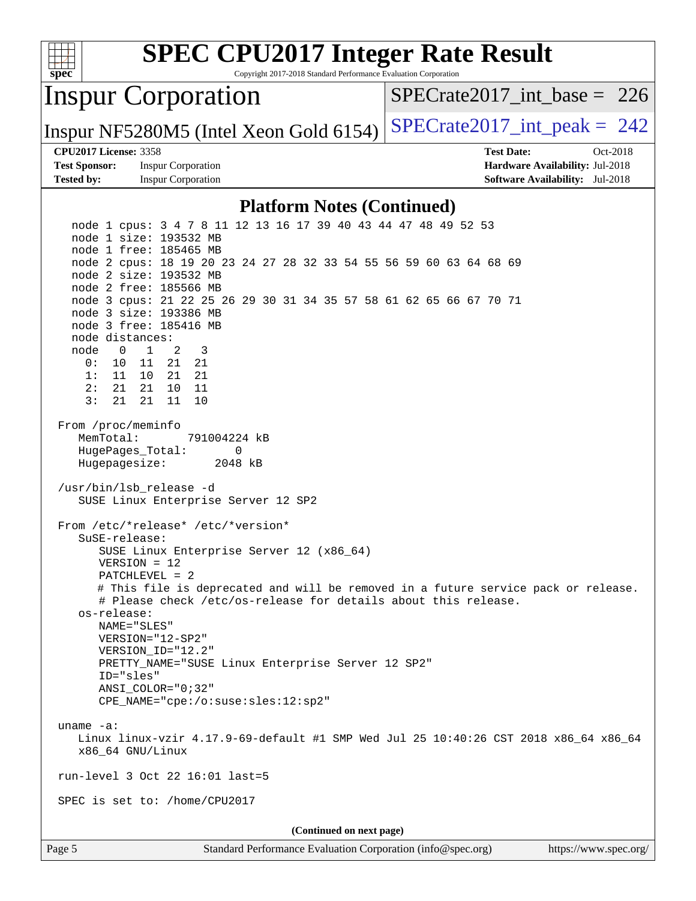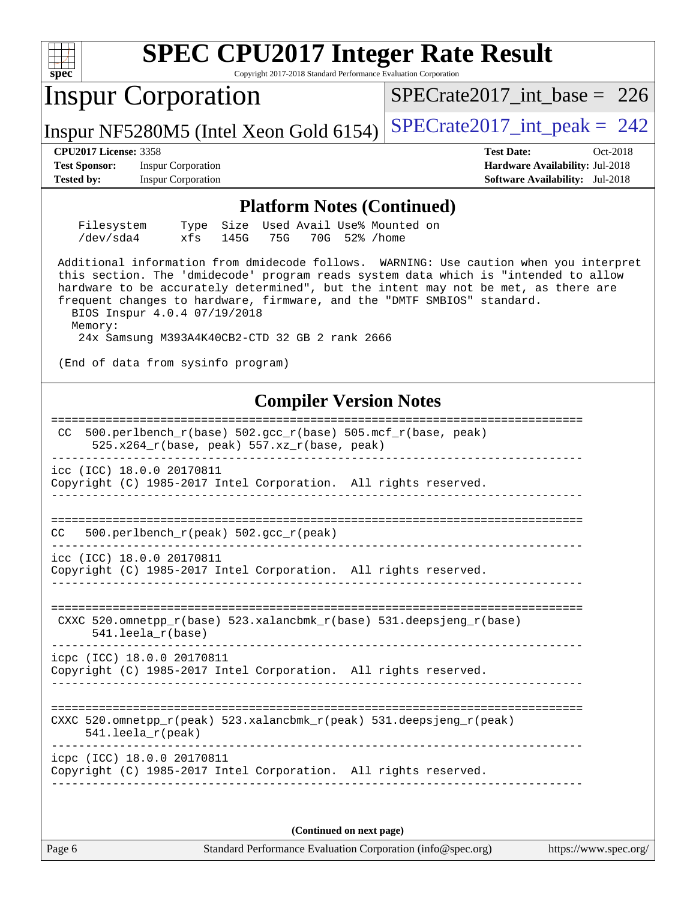| <b>SPEC CPU2017 Integer Rate Result</b><br>Spec<br>Copyright 2017-2018 Standard Performance Evaluation Corporation                                                                                                                                                                                                                                                                                                                          |                                                                                                            |  |  |  |  |  |
|---------------------------------------------------------------------------------------------------------------------------------------------------------------------------------------------------------------------------------------------------------------------------------------------------------------------------------------------------------------------------------------------------------------------------------------------|------------------------------------------------------------------------------------------------------------|--|--|--|--|--|
| <b>Inspur Corporation</b>                                                                                                                                                                                                                                                                                                                                                                                                                   | $SPECrate2017\_int\_base = 226$                                                                            |  |  |  |  |  |
| Inspur NF5280M5 (Intel Xeon Gold 6154)                                                                                                                                                                                                                                                                                                                                                                                                      | $SPECrate2017\_int\_peak = 242$                                                                            |  |  |  |  |  |
| <b>CPU2017 License: 3358</b><br><b>Test Sponsor:</b><br><b>Inspur Corporation</b><br><b>Tested by:</b><br><b>Inspur Corporation</b>                                                                                                                                                                                                                                                                                                         | <b>Test Date:</b><br>Oct-2018<br>Hardware Availability: Jul-2018<br><b>Software Availability:</b> Jul-2018 |  |  |  |  |  |
| <b>Platform Notes (Continued)</b><br>Used Avail Use% Mounted on<br>Filesystem<br>Size<br>Type<br>/dev/sda4<br>xfs<br>70G 52% / home<br>145G<br>75G                                                                                                                                                                                                                                                                                          |                                                                                                            |  |  |  |  |  |
| Additional information from dmidecode follows. WARNING: Use caution when you interpret<br>this section. The 'dmidecode' program reads system data which is "intended to allow<br>hardware to be accurately determined", but the intent may not be met, as there are<br>frequent changes to hardware, firmware, and the "DMTF SMBIOS" standard.<br>BIOS Inspur 4.0.4 07/19/2018<br>Memory:<br>24x Samsung M393A4K40CB2-CTD 32 GB 2 rank 2666 |                                                                                                            |  |  |  |  |  |
|                                                                                                                                                                                                                                                                                                                                                                                                                                             | (End of data from sysinfo program)<br><b>Compiler Version Notes</b>                                        |  |  |  |  |  |
| $500. perlbench_r(base) 502. gcc_r(base) 505.mcf_r(base, peak)$<br>CC.<br>525.x264_r(base, peak) 557.xz_r(base, peak)                                                                                                                                                                                                                                                                                                                       |                                                                                                            |  |  |  |  |  |
| icc (ICC) 18.0.0 20170811<br>Copyright (C) 1985-2017 Intel Corporation. All rights reserved.                                                                                                                                                                                                                                                                                                                                                |                                                                                                            |  |  |  |  |  |
| CC<br>500.perlbench_r(peak) 502.gcc_r(peak)                                                                                                                                                                                                                                                                                                                                                                                                 |                                                                                                            |  |  |  |  |  |
| icc (ICC) 18.0.0 20170811<br>Copyright (C) 1985-2017 Intel Corporation. All rights reserved.                                                                                                                                                                                                                                                                                                                                                |                                                                                                            |  |  |  |  |  |
| CXXC 520.omnetpp_r(base) 523.xalancbmk_r(base) 531.deepsjeng_r(base)<br>$541.$ leela $r(base)$                                                                                                                                                                                                                                                                                                                                              |                                                                                                            |  |  |  |  |  |
| icpc (ICC) 18.0.0 20170811<br>Copyright (C) 1985-2017 Intel Corporation. All rights reserved.                                                                                                                                                                                                                                                                                                                                               |                                                                                                            |  |  |  |  |  |
| CXXC 520.omnetpp_r(peak) 523.xalancbmk_r(peak) 531.deepsjeng_r(peak)<br>$541.$ leela r(peak)                                                                                                                                                                                                                                                                                                                                                |                                                                                                            |  |  |  |  |  |
| icpc (ICC) 18.0.0 20170811<br>Copyright (C) 1985-2017 Intel Corporation. All rights reserved.                                                                                                                                                                                                                                                                                                                                               |                                                                                                            |  |  |  |  |  |
| (Continued on next page)                                                                                                                                                                                                                                                                                                                                                                                                                    |                                                                                                            |  |  |  |  |  |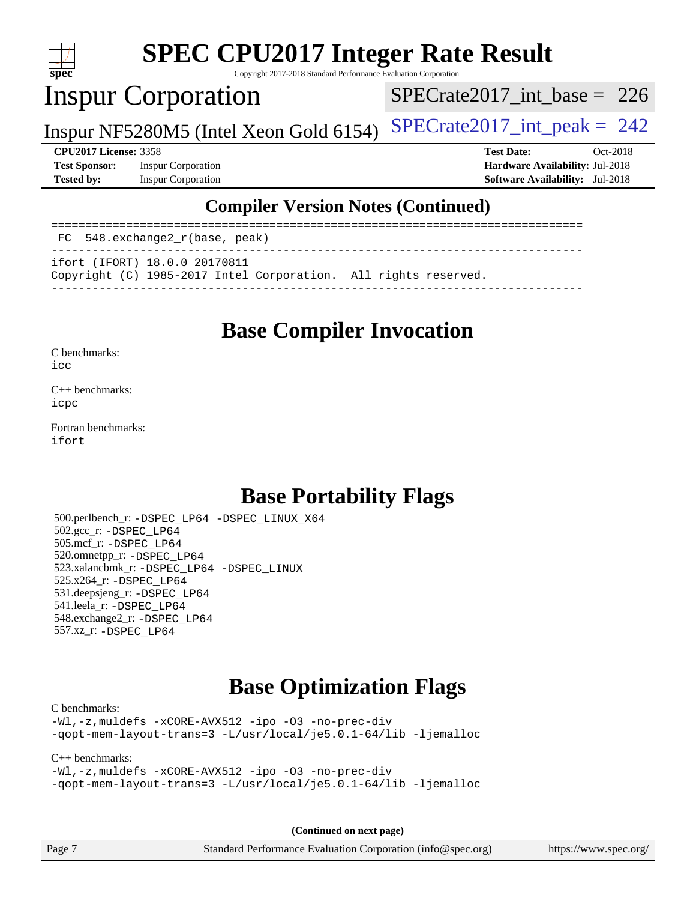

Copyright 2017-2018 Standard Performance Evaluation Corporation

## Inspur Corporation

[SPECrate2017\\_int\\_base =](http://www.spec.org/auto/cpu2017/Docs/result-fields.html#SPECrate2017intbase) 226

Inspur NF5280M5 (Intel Xeon Gold 6154)  $SPECrate2017\_int\_peak = 242$ 

**[Test Sponsor:](http://www.spec.org/auto/cpu2017/Docs/result-fields.html#TestSponsor)** Inspur Corporation **[Hardware Availability:](http://www.spec.org/auto/cpu2017/Docs/result-fields.html#HardwareAvailability)** Jul-2018 **[Tested by:](http://www.spec.org/auto/cpu2017/Docs/result-fields.html#Testedby)** Inspur Corporation **[Software Availability:](http://www.spec.org/auto/cpu2017/Docs/result-fields.html#SoftwareAvailability)** Jul-2018

**[CPU2017 License:](http://www.spec.org/auto/cpu2017/Docs/result-fields.html#CPU2017License)** 3358 **[Test Date:](http://www.spec.org/auto/cpu2017/Docs/result-fields.html#TestDate)** Oct-2018

#### **[Compiler Version Notes \(Continued\)](http://www.spec.org/auto/cpu2017/Docs/result-fields.html#CompilerVersionNotes)**

============================================================================== FC 548.exchange2\_r(base, peak)

------------------------------------------------------------------------------

ifort (IFORT) 18.0.0 20170811

Copyright (C) 1985-2017 Intel Corporation. All rights reserved.

------------------------------------------------------------------------------

## **[Base Compiler Invocation](http://www.spec.org/auto/cpu2017/Docs/result-fields.html#BaseCompilerInvocation)**

[C benchmarks](http://www.spec.org/auto/cpu2017/Docs/result-fields.html#Cbenchmarks):

[icc](http://www.spec.org/cpu2017/results/res2018q4/cpu2017-20181105-09481.flags.html#user_CCbase_intel_icc_18.0_66fc1ee009f7361af1fbd72ca7dcefbb700085f36577c54f309893dd4ec40d12360134090235512931783d35fd58c0460139e722d5067c5574d8eaf2b3e37e92)

[C++ benchmarks:](http://www.spec.org/auto/cpu2017/Docs/result-fields.html#CXXbenchmarks) [icpc](http://www.spec.org/cpu2017/results/res2018q4/cpu2017-20181105-09481.flags.html#user_CXXbase_intel_icpc_18.0_c510b6838c7f56d33e37e94d029a35b4a7bccf4766a728ee175e80a419847e808290a9b78be685c44ab727ea267ec2f070ec5dc83b407c0218cded6866a35d07)

[Fortran benchmarks](http://www.spec.org/auto/cpu2017/Docs/result-fields.html#Fortranbenchmarks): [ifort](http://www.spec.org/cpu2017/results/res2018q4/cpu2017-20181105-09481.flags.html#user_FCbase_intel_ifort_18.0_8111460550e3ca792625aed983ce982f94888b8b503583aa7ba2b8303487b4d8a21a13e7191a45c5fd58ff318f48f9492884d4413fa793fd88dd292cad7027ca)

## **[Base Portability Flags](http://www.spec.org/auto/cpu2017/Docs/result-fields.html#BasePortabilityFlags)**

 500.perlbench\_r: [-DSPEC\\_LP64](http://www.spec.org/cpu2017/results/res2018q4/cpu2017-20181105-09481.flags.html#b500.perlbench_r_basePORTABILITY_DSPEC_LP64) [-DSPEC\\_LINUX\\_X64](http://www.spec.org/cpu2017/results/res2018q4/cpu2017-20181105-09481.flags.html#b500.perlbench_r_baseCPORTABILITY_DSPEC_LINUX_X64) 502.gcc\_r: [-DSPEC\\_LP64](http://www.spec.org/cpu2017/results/res2018q4/cpu2017-20181105-09481.flags.html#suite_basePORTABILITY502_gcc_r_DSPEC_LP64) 505.mcf\_r: [-DSPEC\\_LP64](http://www.spec.org/cpu2017/results/res2018q4/cpu2017-20181105-09481.flags.html#suite_basePORTABILITY505_mcf_r_DSPEC_LP64) 520.omnetpp\_r: [-DSPEC\\_LP64](http://www.spec.org/cpu2017/results/res2018q4/cpu2017-20181105-09481.flags.html#suite_basePORTABILITY520_omnetpp_r_DSPEC_LP64) 523.xalancbmk\_r: [-DSPEC\\_LP64](http://www.spec.org/cpu2017/results/res2018q4/cpu2017-20181105-09481.flags.html#suite_basePORTABILITY523_xalancbmk_r_DSPEC_LP64) [-DSPEC\\_LINUX](http://www.spec.org/cpu2017/results/res2018q4/cpu2017-20181105-09481.flags.html#b523.xalancbmk_r_baseCXXPORTABILITY_DSPEC_LINUX) 525.x264\_r: [-DSPEC\\_LP64](http://www.spec.org/cpu2017/results/res2018q4/cpu2017-20181105-09481.flags.html#suite_basePORTABILITY525_x264_r_DSPEC_LP64) 531.deepsjeng\_r: [-DSPEC\\_LP64](http://www.spec.org/cpu2017/results/res2018q4/cpu2017-20181105-09481.flags.html#suite_basePORTABILITY531_deepsjeng_r_DSPEC_LP64) 541.leela\_r: [-DSPEC\\_LP64](http://www.spec.org/cpu2017/results/res2018q4/cpu2017-20181105-09481.flags.html#suite_basePORTABILITY541_leela_r_DSPEC_LP64) 548.exchange2\_r: [-DSPEC\\_LP64](http://www.spec.org/cpu2017/results/res2018q4/cpu2017-20181105-09481.flags.html#suite_basePORTABILITY548_exchange2_r_DSPEC_LP64) 557.xz\_r: [-DSPEC\\_LP64](http://www.spec.org/cpu2017/results/res2018q4/cpu2017-20181105-09481.flags.html#suite_basePORTABILITY557_xz_r_DSPEC_LP64)

## **[Base Optimization Flags](http://www.spec.org/auto/cpu2017/Docs/result-fields.html#BaseOptimizationFlags)**

[C benchmarks](http://www.spec.org/auto/cpu2017/Docs/result-fields.html#Cbenchmarks):

[-Wl,-z,muldefs](http://www.spec.org/cpu2017/results/res2018q4/cpu2017-20181105-09481.flags.html#user_CCbase_link_force_multiple1_b4cbdb97b34bdee9ceefcfe54f4c8ea74255f0b02a4b23e853cdb0e18eb4525ac79b5a88067c842dd0ee6996c24547a27a4b99331201badda8798ef8a743f577) [-xCORE-AVX512](http://www.spec.org/cpu2017/results/res2018q4/cpu2017-20181105-09481.flags.html#user_CCbase_f-xCORE-AVX512) [-ipo](http://www.spec.org/cpu2017/results/res2018q4/cpu2017-20181105-09481.flags.html#user_CCbase_f-ipo) [-O3](http://www.spec.org/cpu2017/results/res2018q4/cpu2017-20181105-09481.flags.html#user_CCbase_f-O3) [-no-prec-div](http://www.spec.org/cpu2017/results/res2018q4/cpu2017-20181105-09481.flags.html#user_CCbase_f-no-prec-div) [-qopt-mem-layout-trans=3](http://www.spec.org/cpu2017/results/res2018q4/cpu2017-20181105-09481.flags.html#user_CCbase_f-qopt-mem-layout-trans_de80db37974c74b1f0e20d883f0b675c88c3b01e9d123adea9b28688d64333345fb62bc4a798493513fdb68f60282f9a726aa07f478b2f7113531aecce732043) [-L/usr/local/je5.0.1-64/lib](http://www.spec.org/cpu2017/results/res2018q4/cpu2017-20181105-09481.flags.html#user_CCbase_jemalloc_link_path64_4b10a636b7bce113509b17f3bd0d6226c5fb2346b9178c2d0232c14f04ab830f976640479e5c33dc2bcbbdad86ecfb6634cbbd4418746f06f368b512fced5394) [-ljemalloc](http://www.spec.org/cpu2017/results/res2018q4/cpu2017-20181105-09481.flags.html#user_CCbase_jemalloc_link_lib_d1249b907c500fa1c0672f44f562e3d0f79738ae9e3c4a9c376d49f265a04b9c99b167ecedbf6711b3085be911c67ff61f150a17b3472be731631ba4d0471706)

#### [C++ benchmarks:](http://www.spec.org/auto/cpu2017/Docs/result-fields.html#CXXbenchmarks)

```
-Wl,-z,muldefs -xCORE-AVX512 -ipo -O3 -no-prec-div
-qopt-mem-layout-trans=3 -L/usr/local/je5.0.1-64/lib -ljemalloc
```
**(Continued on next page)**

Page 7 Standard Performance Evaluation Corporation [\(info@spec.org\)](mailto:info@spec.org) <https://www.spec.org/>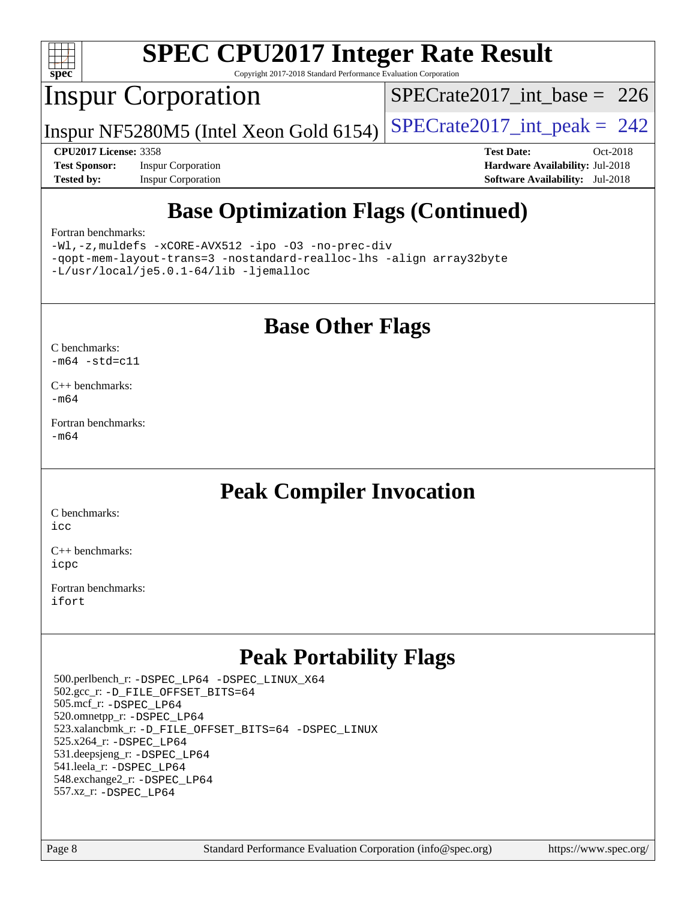

Copyright 2017-2018 Standard Performance Evaluation Corporation

## Inspur Corporation

[SPECrate2017\\_int\\_base =](http://www.spec.org/auto/cpu2017/Docs/result-fields.html#SPECrate2017intbase) 226

Inspur NF5280M5 (Intel Xeon Gold 6154)  $SPECrate2017\_int\_peak = 242$ 

**[Test Sponsor:](http://www.spec.org/auto/cpu2017/Docs/result-fields.html#TestSponsor)** Inspur Corporation **[Hardware Availability:](http://www.spec.org/auto/cpu2017/Docs/result-fields.html#HardwareAvailability)** Jul-2018 **[Tested by:](http://www.spec.org/auto/cpu2017/Docs/result-fields.html#Testedby)** Inspur Corporation **[Software Availability:](http://www.spec.org/auto/cpu2017/Docs/result-fields.html#SoftwareAvailability)** Jul-2018

**[CPU2017 License:](http://www.spec.org/auto/cpu2017/Docs/result-fields.html#CPU2017License)** 3358 **[Test Date:](http://www.spec.org/auto/cpu2017/Docs/result-fields.html#TestDate)** Oct-2018

## **[Base Optimization Flags \(Continued\)](http://www.spec.org/auto/cpu2017/Docs/result-fields.html#BaseOptimizationFlags)**

#### [Fortran benchmarks](http://www.spec.org/auto/cpu2017/Docs/result-fields.html#Fortranbenchmarks):

[-Wl,-z,muldefs](http://www.spec.org/cpu2017/results/res2018q4/cpu2017-20181105-09481.flags.html#user_FCbase_link_force_multiple1_b4cbdb97b34bdee9ceefcfe54f4c8ea74255f0b02a4b23e853cdb0e18eb4525ac79b5a88067c842dd0ee6996c24547a27a4b99331201badda8798ef8a743f577) [-xCORE-AVX512](http://www.spec.org/cpu2017/results/res2018q4/cpu2017-20181105-09481.flags.html#user_FCbase_f-xCORE-AVX512) [-ipo](http://www.spec.org/cpu2017/results/res2018q4/cpu2017-20181105-09481.flags.html#user_FCbase_f-ipo) [-O3](http://www.spec.org/cpu2017/results/res2018q4/cpu2017-20181105-09481.flags.html#user_FCbase_f-O3) [-no-prec-div](http://www.spec.org/cpu2017/results/res2018q4/cpu2017-20181105-09481.flags.html#user_FCbase_f-no-prec-div) [-qopt-mem-layout-trans=3](http://www.spec.org/cpu2017/results/res2018q4/cpu2017-20181105-09481.flags.html#user_FCbase_f-qopt-mem-layout-trans_de80db37974c74b1f0e20d883f0b675c88c3b01e9d123adea9b28688d64333345fb62bc4a798493513fdb68f60282f9a726aa07f478b2f7113531aecce732043) [-nostandard-realloc-lhs](http://www.spec.org/cpu2017/results/res2018q4/cpu2017-20181105-09481.flags.html#user_FCbase_f_2003_std_realloc_82b4557e90729c0f113870c07e44d33d6f5a304b4f63d4c15d2d0f1fab99f5daaed73bdb9275d9ae411527f28b936061aa8b9c8f2d63842963b95c9dd6426b8a) [-align array32byte](http://www.spec.org/cpu2017/results/res2018q4/cpu2017-20181105-09481.flags.html#user_FCbase_align_array32byte_b982fe038af199962ba9a80c053b8342c548c85b40b8e86eb3cc33dee0d7986a4af373ac2d51c3f7cf710a18d62fdce2948f201cd044323541f22fc0fffc51b6) [-L/usr/local/je5.0.1-64/lib](http://www.spec.org/cpu2017/results/res2018q4/cpu2017-20181105-09481.flags.html#user_FCbase_jemalloc_link_path64_4b10a636b7bce113509b17f3bd0d6226c5fb2346b9178c2d0232c14f04ab830f976640479e5c33dc2bcbbdad86ecfb6634cbbd4418746f06f368b512fced5394) [-ljemalloc](http://www.spec.org/cpu2017/results/res2018q4/cpu2017-20181105-09481.flags.html#user_FCbase_jemalloc_link_lib_d1249b907c500fa1c0672f44f562e3d0f79738ae9e3c4a9c376d49f265a04b9c99b167ecedbf6711b3085be911c67ff61f150a17b3472be731631ba4d0471706)

#### **[Base Other Flags](http://www.spec.org/auto/cpu2017/Docs/result-fields.html#BaseOtherFlags)**

[C benchmarks](http://www.spec.org/auto/cpu2017/Docs/result-fields.html#Cbenchmarks):  $-m64 - std= c11$  $-m64 - std= c11$ 

[C++ benchmarks:](http://www.spec.org/auto/cpu2017/Docs/result-fields.html#CXXbenchmarks) [-m64](http://www.spec.org/cpu2017/results/res2018q4/cpu2017-20181105-09481.flags.html#user_CXXbase_intel_intel64_18.0_af43caccfc8ded86e7699f2159af6efc7655f51387b94da716254467f3c01020a5059329e2569e4053f409e7c9202a7efc638f7a6d1ffb3f52dea4a3e31d82ab)

[Fortran benchmarks](http://www.spec.org/auto/cpu2017/Docs/result-fields.html#Fortranbenchmarks): [-m64](http://www.spec.org/cpu2017/results/res2018q4/cpu2017-20181105-09481.flags.html#user_FCbase_intel_intel64_18.0_af43caccfc8ded86e7699f2159af6efc7655f51387b94da716254467f3c01020a5059329e2569e4053f409e7c9202a7efc638f7a6d1ffb3f52dea4a3e31d82ab)

### **[Peak Compiler Invocation](http://www.spec.org/auto/cpu2017/Docs/result-fields.html#PeakCompilerInvocation)**

[C benchmarks](http://www.spec.org/auto/cpu2017/Docs/result-fields.html#Cbenchmarks): [icc](http://www.spec.org/cpu2017/results/res2018q4/cpu2017-20181105-09481.flags.html#user_CCpeak_intel_icc_18.0_66fc1ee009f7361af1fbd72ca7dcefbb700085f36577c54f309893dd4ec40d12360134090235512931783d35fd58c0460139e722d5067c5574d8eaf2b3e37e92)

[C++ benchmarks:](http://www.spec.org/auto/cpu2017/Docs/result-fields.html#CXXbenchmarks) [icpc](http://www.spec.org/cpu2017/results/res2018q4/cpu2017-20181105-09481.flags.html#user_CXXpeak_intel_icpc_18.0_c510b6838c7f56d33e37e94d029a35b4a7bccf4766a728ee175e80a419847e808290a9b78be685c44ab727ea267ec2f070ec5dc83b407c0218cded6866a35d07)

[Fortran benchmarks](http://www.spec.org/auto/cpu2017/Docs/result-fields.html#Fortranbenchmarks): [ifort](http://www.spec.org/cpu2017/results/res2018q4/cpu2017-20181105-09481.flags.html#user_FCpeak_intel_ifort_18.0_8111460550e3ca792625aed983ce982f94888b8b503583aa7ba2b8303487b4d8a21a13e7191a45c5fd58ff318f48f9492884d4413fa793fd88dd292cad7027ca)

### **[Peak Portability Flags](http://www.spec.org/auto/cpu2017/Docs/result-fields.html#PeakPortabilityFlags)**

 500.perlbench\_r: [-DSPEC\\_LP64](http://www.spec.org/cpu2017/results/res2018q4/cpu2017-20181105-09481.flags.html#b500.perlbench_r_peakPORTABILITY_DSPEC_LP64) [-DSPEC\\_LINUX\\_X64](http://www.spec.org/cpu2017/results/res2018q4/cpu2017-20181105-09481.flags.html#b500.perlbench_r_peakCPORTABILITY_DSPEC_LINUX_X64) 502.gcc\_r: [-D\\_FILE\\_OFFSET\\_BITS=64](http://www.spec.org/cpu2017/results/res2018q4/cpu2017-20181105-09481.flags.html#user_peakPORTABILITY502_gcc_r_file_offset_bits_64_5ae949a99b284ddf4e95728d47cb0843d81b2eb0e18bdfe74bbf0f61d0b064f4bda2f10ea5eb90e1dcab0e84dbc592acfc5018bc955c18609f94ddb8d550002c) 505.mcf\_r: [-DSPEC\\_LP64](http://www.spec.org/cpu2017/results/res2018q4/cpu2017-20181105-09481.flags.html#suite_peakPORTABILITY505_mcf_r_DSPEC_LP64) 520.omnetpp\_r: [-DSPEC\\_LP64](http://www.spec.org/cpu2017/results/res2018q4/cpu2017-20181105-09481.flags.html#suite_peakPORTABILITY520_omnetpp_r_DSPEC_LP64) 523.xalancbmk\_r: [-D\\_FILE\\_OFFSET\\_BITS=64](http://www.spec.org/cpu2017/results/res2018q4/cpu2017-20181105-09481.flags.html#user_peakPORTABILITY523_xalancbmk_r_file_offset_bits_64_5ae949a99b284ddf4e95728d47cb0843d81b2eb0e18bdfe74bbf0f61d0b064f4bda2f10ea5eb90e1dcab0e84dbc592acfc5018bc955c18609f94ddb8d550002c) [-DSPEC\\_LINUX](http://www.spec.org/cpu2017/results/res2018q4/cpu2017-20181105-09481.flags.html#b523.xalancbmk_r_peakCXXPORTABILITY_DSPEC_LINUX) 525.x264\_r: [-DSPEC\\_LP64](http://www.spec.org/cpu2017/results/res2018q4/cpu2017-20181105-09481.flags.html#suite_peakPORTABILITY525_x264_r_DSPEC_LP64) 531.deepsjeng\_r: [-DSPEC\\_LP64](http://www.spec.org/cpu2017/results/res2018q4/cpu2017-20181105-09481.flags.html#suite_peakPORTABILITY531_deepsjeng_r_DSPEC_LP64) 541.leela\_r: [-DSPEC\\_LP64](http://www.spec.org/cpu2017/results/res2018q4/cpu2017-20181105-09481.flags.html#suite_peakPORTABILITY541_leela_r_DSPEC_LP64) 548.exchange2\_r: [-DSPEC\\_LP64](http://www.spec.org/cpu2017/results/res2018q4/cpu2017-20181105-09481.flags.html#suite_peakPORTABILITY548_exchange2_r_DSPEC_LP64) 557.xz\_r: [-DSPEC\\_LP64](http://www.spec.org/cpu2017/results/res2018q4/cpu2017-20181105-09481.flags.html#suite_peakPORTABILITY557_xz_r_DSPEC_LP64)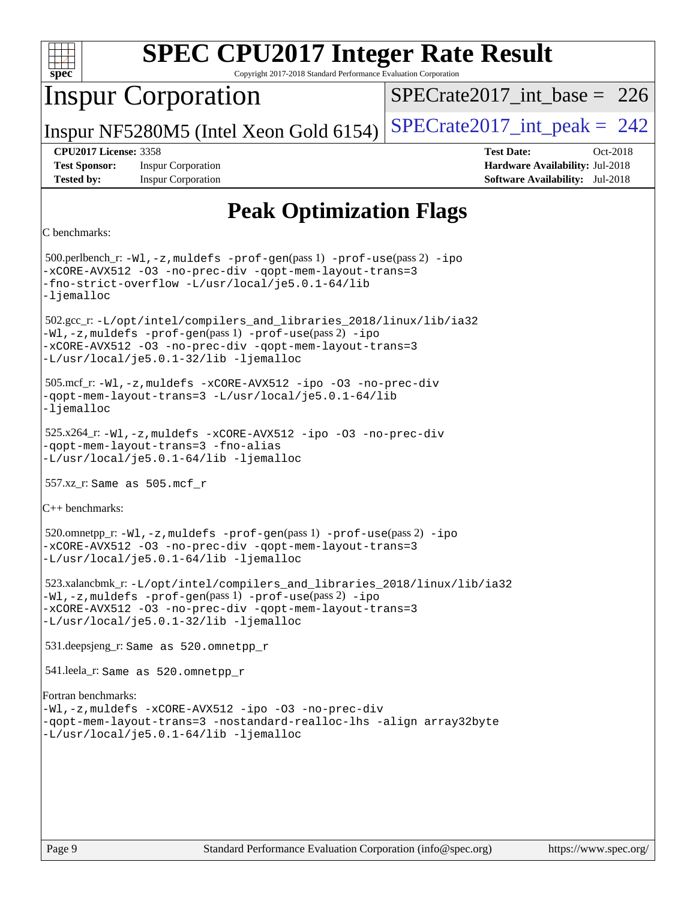

Copyright 2017-2018 Standard Performance Evaluation Corporation

## Inspur Corporation

 $SPECrate2017\_int\_base = 226$ 

Inspur NF5280M5 (Intel Xeon Gold 6154)  $SPECrate2017\_int\_peak = 242$ 

**[Test Sponsor:](http://www.spec.org/auto/cpu2017/Docs/result-fields.html#TestSponsor)** Inspur Corporation **[Hardware Availability:](http://www.spec.org/auto/cpu2017/Docs/result-fields.html#HardwareAvailability)** Jul-2018 **[Tested by:](http://www.spec.org/auto/cpu2017/Docs/result-fields.html#Testedby)** Inspur Corporation **[Software Availability:](http://www.spec.org/auto/cpu2017/Docs/result-fields.html#SoftwareAvailability)** Jul-2018

**[CPU2017 License:](http://www.spec.org/auto/cpu2017/Docs/result-fields.html#CPU2017License)** 3358 **[Test Date:](http://www.spec.org/auto/cpu2017/Docs/result-fields.html#TestDate)** Oct-2018

## **[Peak Optimization Flags](http://www.spec.org/auto/cpu2017/Docs/result-fields.html#PeakOptimizationFlags)**

```
C benchmarks:
```
 500.perlbench\_r: [-Wl,-z,muldefs](http://www.spec.org/cpu2017/results/res2018q4/cpu2017-20181105-09481.flags.html#user_peakEXTRA_LDFLAGS500_perlbench_r_link_force_multiple1_b4cbdb97b34bdee9ceefcfe54f4c8ea74255f0b02a4b23e853cdb0e18eb4525ac79b5a88067c842dd0ee6996c24547a27a4b99331201badda8798ef8a743f577) [-prof-gen](http://www.spec.org/cpu2017/results/res2018q4/cpu2017-20181105-09481.flags.html#user_peakPASS1_CFLAGSPASS1_LDFLAGS500_perlbench_r_prof_gen_5aa4926d6013ddb2a31985c654b3eb18169fc0c6952a63635c234f711e6e63dd76e94ad52365559451ec499a2cdb89e4dc58ba4c67ef54ca681ffbe1461d6b36)(pass 1) [-prof-use](http://www.spec.org/cpu2017/results/res2018q4/cpu2017-20181105-09481.flags.html#user_peakPASS2_CFLAGSPASS2_LDFLAGS500_perlbench_r_prof_use_1a21ceae95f36a2b53c25747139a6c16ca95bd9def2a207b4f0849963b97e94f5260e30a0c64f4bb623698870e679ca08317ef8150905d41bd88c6f78df73f19)(pass 2) [-ipo](http://www.spec.org/cpu2017/results/res2018q4/cpu2017-20181105-09481.flags.html#user_peakPASS1_COPTIMIZEPASS2_COPTIMIZE500_perlbench_r_f-ipo) [-xCORE-AVX512](http://www.spec.org/cpu2017/results/res2018q4/cpu2017-20181105-09481.flags.html#user_peakPASS2_COPTIMIZE500_perlbench_r_f-xCORE-AVX512) [-O3](http://www.spec.org/cpu2017/results/res2018q4/cpu2017-20181105-09481.flags.html#user_peakPASS1_COPTIMIZEPASS2_COPTIMIZE500_perlbench_r_f-O3) [-no-prec-div](http://www.spec.org/cpu2017/results/res2018q4/cpu2017-20181105-09481.flags.html#user_peakPASS1_COPTIMIZEPASS2_COPTIMIZE500_perlbench_r_f-no-prec-div) [-qopt-mem-layout-trans=3](http://www.spec.org/cpu2017/results/res2018q4/cpu2017-20181105-09481.flags.html#user_peakPASS1_COPTIMIZEPASS2_COPTIMIZE500_perlbench_r_f-qopt-mem-layout-trans_de80db37974c74b1f0e20d883f0b675c88c3b01e9d123adea9b28688d64333345fb62bc4a798493513fdb68f60282f9a726aa07f478b2f7113531aecce732043) [-fno-strict-overflow](http://www.spec.org/cpu2017/results/res2018q4/cpu2017-20181105-09481.flags.html#user_peakEXTRA_OPTIMIZE500_perlbench_r_f-fno-strict-overflow) [-L/usr/local/je5.0.1-64/lib](http://www.spec.org/cpu2017/results/res2018q4/cpu2017-20181105-09481.flags.html#user_peakEXTRA_LIBS500_perlbench_r_jemalloc_link_path64_4b10a636b7bce113509b17f3bd0d6226c5fb2346b9178c2d0232c14f04ab830f976640479e5c33dc2bcbbdad86ecfb6634cbbd4418746f06f368b512fced5394) [-ljemalloc](http://www.spec.org/cpu2017/results/res2018q4/cpu2017-20181105-09481.flags.html#user_peakEXTRA_LIBS500_perlbench_r_jemalloc_link_lib_d1249b907c500fa1c0672f44f562e3d0f79738ae9e3c4a9c376d49f265a04b9c99b167ecedbf6711b3085be911c67ff61f150a17b3472be731631ba4d0471706) 502.gcc\_r: [-L/opt/intel/compilers\\_and\\_libraries\\_2018/linux/lib/ia32](http://www.spec.org/cpu2017/results/res2018q4/cpu2017-20181105-09481.flags.html#user_peakCCLD502_gcc_r_Enable-32bit-runtime_af243bdb1d79e4c7a4f720bf8275e627de2ecd461de63307bc14cef0633fde3cd7bb2facb32dcc8be9566045fb55d40ce2b72b725f73827aa7833441b71b9343) [-Wl,-z,muldefs](http://www.spec.org/cpu2017/results/res2018q4/cpu2017-20181105-09481.flags.html#user_peakEXTRA_LDFLAGS502_gcc_r_link_force_multiple1_b4cbdb97b34bdee9ceefcfe54f4c8ea74255f0b02a4b23e853cdb0e18eb4525ac79b5a88067c842dd0ee6996c24547a27a4b99331201badda8798ef8a743f577) [-prof-gen](http://www.spec.org/cpu2017/results/res2018q4/cpu2017-20181105-09481.flags.html#user_peakPASS1_CFLAGSPASS1_LDFLAGS502_gcc_r_prof_gen_5aa4926d6013ddb2a31985c654b3eb18169fc0c6952a63635c234f711e6e63dd76e94ad52365559451ec499a2cdb89e4dc58ba4c67ef54ca681ffbe1461d6b36)(pass 1) [-prof-use](http://www.spec.org/cpu2017/results/res2018q4/cpu2017-20181105-09481.flags.html#user_peakPASS2_CFLAGSPASS2_LDFLAGS502_gcc_r_prof_use_1a21ceae95f36a2b53c25747139a6c16ca95bd9def2a207b4f0849963b97e94f5260e30a0c64f4bb623698870e679ca08317ef8150905d41bd88c6f78df73f19)(pass 2) [-ipo](http://www.spec.org/cpu2017/results/res2018q4/cpu2017-20181105-09481.flags.html#user_peakPASS1_COPTIMIZEPASS2_COPTIMIZE502_gcc_r_f-ipo) [-xCORE-AVX512](http://www.spec.org/cpu2017/results/res2018q4/cpu2017-20181105-09481.flags.html#user_peakPASS2_COPTIMIZE502_gcc_r_f-xCORE-AVX512) [-O3](http://www.spec.org/cpu2017/results/res2018q4/cpu2017-20181105-09481.flags.html#user_peakPASS1_COPTIMIZEPASS2_COPTIMIZE502_gcc_r_f-O3) [-no-prec-div](http://www.spec.org/cpu2017/results/res2018q4/cpu2017-20181105-09481.flags.html#user_peakPASS1_COPTIMIZEPASS2_COPTIMIZE502_gcc_r_f-no-prec-div) [-qopt-mem-layout-trans=3](http://www.spec.org/cpu2017/results/res2018q4/cpu2017-20181105-09481.flags.html#user_peakPASS1_COPTIMIZEPASS2_COPTIMIZE502_gcc_r_f-qopt-mem-layout-trans_de80db37974c74b1f0e20d883f0b675c88c3b01e9d123adea9b28688d64333345fb62bc4a798493513fdb68f60282f9a726aa07f478b2f7113531aecce732043) [-L/usr/local/je5.0.1-32/lib](http://www.spec.org/cpu2017/results/res2018q4/cpu2017-20181105-09481.flags.html#user_peakEXTRA_LIBS502_gcc_r_jemalloc_link_path32_e29f22e8e6c17053bbc6a0971f5a9c01a601a06bb1a59df2084b77a2fe0a2995b64fd4256feaeea39eeba3aae142e96e2b2b0a28974019c0c0c88139a84f900a) [-ljemalloc](http://www.spec.org/cpu2017/results/res2018q4/cpu2017-20181105-09481.flags.html#user_peakEXTRA_LIBS502_gcc_r_jemalloc_link_lib_d1249b907c500fa1c0672f44f562e3d0f79738ae9e3c4a9c376d49f265a04b9c99b167ecedbf6711b3085be911c67ff61f150a17b3472be731631ba4d0471706) 505.mcf\_r: [-Wl,-z,muldefs](http://www.spec.org/cpu2017/results/res2018q4/cpu2017-20181105-09481.flags.html#user_peakEXTRA_LDFLAGS505_mcf_r_link_force_multiple1_b4cbdb97b34bdee9ceefcfe54f4c8ea74255f0b02a4b23e853cdb0e18eb4525ac79b5a88067c842dd0ee6996c24547a27a4b99331201badda8798ef8a743f577) [-xCORE-AVX512](http://www.spec.org/cpu2017/results/res2018q4/cpu2017-20181105-09481.flags.html#user_peakCOPTIMIZE505_mcf_r_f-xCORE-AVX512) [-ipo](http://www.spec.org/cpu2017/results/res2018q4/cpu2017-20181105-09481.flags.html#user_peakCOPTIMIZE505_mcf_r_f-ipo) [-O3](http://www.spec.org/cpu2017/results/res2018q4/cpu2017-20181105-09481.flags.html#user_peakCOPTIMIZE505_mcf_r_f-O3) [-no-prec-div](http://www.spec.org/cpu2017/results/res2018q4/cpu2017-20181105-09481.flags.html#user_peakCOPTIMIZE505_mcf_r_f-no-prec-div) [-qopt-mem-layout-trans=3](http://www.spec.org/cpu2017/results/res2018q4/cpu2017-20181105-09481.flags.html#user_peakCOPTIMIZE505_mcf_r_f-qopt-mem-layout-trans_de80db37974c74b1f0e20d883f0b675c88c3b01e9d123adea9b28688d64333345fb62bc4a798493513fdb68f60282f9a726aa07f478b2f7113531aecce732043) [-L/usr/local/je5.0.1-64/lib](http://www.spec.org/cpu2017/results/res2018q4/cpu2017-20181105-09481.flags.html#user_peakEXTRA_LIBS505_mcf_r_jemalloc_link_path64_4b10a636b7bce113509b17f3bd0d6226c5fb2346b9178c2d0232c14f04ab830f976640479e5c33dc2bcbbdad86ecfb6634cbbd4418746f06f368b512fced5394) [-ljemalloc](http://www.spec.org/cpu2017/results/res2018q4/cpu2017-20181105-09481.flags.html#user_peakEXTRA_LIBS505_mcf_r_jemalloc_link_lib_d1249b907c500fa1c0672f44f562e3d0f79738ae9e3c4a9c376d49f265a04b9c99b167ecedbf6711b3085be911c67ff61f150a17b3472be731631ba4d0471706) 525.x264\_r: [-Wl,-z,muldefs](http://www.spec.org/cpu2017/results/res2018q4/cpu2017-20181105-09481.flags.html#user_peakEXTRA_LDFLAGS525_x264_r_link_force_multiple1_b4cbdb97b34bdee9ceefcfe54f4c8ea74255f0b02a4b23e853cdb0e18eb4525ac79b5a88067c842dd0ee6996c24547a27a4b99331201badda8798ef8a743f577) [-xCORE-AVX512](http://www.spec.org/cpu2017/results/res2018q4/cpu2017-20181105-09481.flags.html#user_peakCOPTIMIZE525_x264_r_f-xCORE-AVX512) [-ipo](http://www.spec.org/cpu2017/results/res2018q4/cpu2017-20181105-09481.flags.html#user_peakCOPTIMIZE525_x264_r_f-ipo) [-O3](http://www.spec.org/cpu2017/results/res2018q4/cpu2017-20181105-09481.flags.html#user_peakCOPTIMIZE525_x264_r_f-O3) [-no-prec-div](http://www.spec.org/cpu2017/results/res2018q4/cpu2017-20181105-09481.flags.html#user_peakCOPTIMIZE525_x264_r_f-no-prec-div) [-qopt-mem-layout-trans=3](http://www.spec.org/cpu2017/results/res2018q4/cpu2017-20181105-09481.flags.html#user_peakCOPTIMIZE525_x264_r_f-qopt-mem-layout-trans_de80db37974c74b1f0e20d883f0b675c88c3b01e9d123adea9b28688d64333345fb62bc4a798493513fdb68f60282f9a726aa07f478b2f7113531aecce732043) [-fno-alias](http://www.spec.org/cpu2017/results/res2018q4/cpu2017-20181105-09481.flags.html#user_peakEXTRA_OPTIMIZE525_x264_r_f-no-alias_77dbac10d91cbfe898fbf4a29d1b29b694089caa623bdd1baccc9957d4edbe8d106c0b357e2748a65b44fc9e83d78098bb898077f3fe92f9faf24f7bd4a07ed7) [-L/usr/local/je5.0.1-64/lib](http://www.spec.org/cpu2017/results/res2018q4/cpu2017-20181105-09481.flags.html#user_peakEXTRA_LIBS525_x264_r_jemalloc_link_path64_4b10a636b7bce113509b17f3bd0d6226c5fb2346b9178c2d0232c14f04ab830f976640479e5c33dc2bcbbdad86ecfb6634cbbd4418746f06f368b512fced5394) [-ljemalloc](http://www.spec.org/cpu2017/results/res2018q4/cpu2017-20181105-09481.flags.html#user_peakEXTRA_LIBS525_x264_r_jemalloc_link_lib_d1249b907c500fa1c0672f44f562e3d0f79738ae9e3c4a9c376d49f265a04b9c99b167ecedbf6711b3085be911c67ff61f150a17b3472be731631ba4d0471706) 557.xz\_r: Same as 505.mcf\_r [C++ benchmarks](http://www.spec.org/auto/cpu2017/Docs/result-fields.html#CXXbenchmarks): 520.omnetpp\_r: [-Wl,-z,muldefs](http://www.spec.org/cpu2017/results/res2018q4/cpu2017-20181105-09481.flags.html#user_peakEXTRA_LDFLAGS520_omnetpp_r_link_force_multiple1_b4cbdb97b34bdee9ceefcfe54f4c8ea74255f0b02a4b23e853cdb0e18eb4525ac79b5a88067c842dd0ee6996c24547a27a4b99331201badda8798ef8a743f577) [-prof-gen](http://www.spec.org/cpu2017/results/res2018q4/cpu2017-20181105-09481.flags.html#user_peakPASS1_CXXFLAGSPASS1_LDFLAGS520_omnetpp_r_prof_gen_5aa4926d6013ddb2a31985c654b3eb18169fc0c6952a63635c234f711e6e63dd76e94ad52365559451ec499a2cdb89e4dc58ba4c67ef54ca681ffbe1461d6b36)(pass 1) [-prof-use](http://www.spec.org/cpu2017/results/res2018q4/cpu2017-20181105-09481.flags.html#user_peakPASS2_CXXFLAGSPASS2_LDFLAGS520_omnetpp_r_prof_use_1a21ceae95f36a2b53c25747139a6c16ca95bd9def2a207b4f0849963b97e94f5260e30a0c64f4bb623698870e679ca08317ef8150905d41bd88c6f78df73f19)(pass 2) [-ipo](http://www.spec.org/cpu2017/results/res2018q4/cpu2017-20181105-09481.flags.html#user_peakPASS1_CXXOPTIMIZEPASS2_CXXOPTIMIZE520_omnetpp_r_f-ipo) [-xCORE-AVX512](http://www.spec.org/cpu2017/results/res2018q4/cpu2017-20181105-09481.flags.html#user_peakPASS2_CXXOPTIMIZE520_omnetpp_r_f-xCORE-AVX512) [-O3](http://www.spec.org/cpu2017/results/res2018q4/cpu2017-20181105-09481.flags.html#user_peakPASS1_CXXOPTIMIZEPASS2_CXXOPTIMIZE520_omnetpp_r_f-O3) [-no-prec-div](http://www.spec.org/cpu2017/results/res2018q4/cpu2017-20181105-09481.flags.html#user_peakPASS1_CXXOPTIMIZEPASS2_CXXOPTIMIZE520_omnetpp_r_f-no-prec-div) [-qopt-mem-layout-trans=3](http://www.spec.org/cpu2017/results/res2018q4/cpu2017-20181105-09481.flags.html#user_peakPASS1_CXXOPTIMIZEPASS2_CXXOPTIMIZE520_omnetpp_r_f-qopt-mem-layout-trans_de80db37974c74b1f0e20d883f0b675c88c3b01e9d123adea9b28688d64333345fb62bc4a798493513fdb68f60282f9a726aa07f478b2f7113531aecce732043) [-L/usr/local/je5.0.1-64/lib](http://www.spec.org/cpu2017/results/res2018q4/cpu2017-20181105-09481.flags.html#user_peakEXTRA_LIBS520_omnetpp_r_jemalloc_link_path64_4b10a636b7bce113509b17f3bd0d6226c5fb2346b9178c2d0232c14f04ab830f976640479e5c33dc2bcbbdad86ecfb6634cbbd4418746f06f368b512fced5394) [-ljemalloc](http://www.spec.org/cpu2017/results/res2018q4/cpu2017-20181105-09481.flags.html#user_peakEXTRA_LIBS520_omnetpp_r_jemalloc_link_lib_d1249b907c500fa1c0672f44f562e3d0f79738ae9e3c4a9c376d49f265a04b9c99b167ecedbf6711b3085be911c67ff61f150a17b3472be731631ba4d0471706) 523.xalancbmk\_r: [-L/opt/intel/compilers\\_and\\_libraries\\_2018/linux/lib/ia32](http://www.spec.org/cpu2017/results/res2018q4/cpu2017-20181105-09481.flags.html#user_peakCXXLD523_xalancbmk_r_Enable-32bit-runtime_af243bdb1d79e4c7a4f720bf8275e627de2ecd461de63307bc14cef0633fde3cd7bb2facb32dcc8be9566045fb55d40ce2b72b725f73827aa7833441b71b9343) [-Wl,-z,muldefs](http://www.spec.org/cpu2017/results/res2018q4/cpu2017-20181105-09481.flags.html#user_peakEXTRA_LDFLAGS523_xalancbmk_r_link_force_multiple1_b4cbdb97b34bdee9ceefcfe54f4c8ea74255f0b02a4b23e853cdb0e18eb4525ac79b5a88067c842dd0ee6996c24547a27a4b99331201badda8798ef8a743f577) [-prof-gen](http://www.spec.org/cpu2017/results/res2018q4/cpu2017-20181105-09481.flags.html#user_peakPASS1_CXXFLAGSPASS1_LDFLAGS523_xalancbmk_r_prof_gen_5aa4926d6013ddb2a31985c654b3eb18169fc0c6952a63635c234f711e6e63dd76e94ad52365559451ec499a2cdb89e4dc58ba4c67ef54ca681ffbe1461d6b36)(pass 1) [-prof-use](http://www.spec.org/cpu2017/results/res2018q4/cpu2017-20181105-09481.flags.html#user_peakPASS2_CXXFLAGSPASS2_LDFLAGS523_xalancbmk_r_prof_use_1a21ceae95f36a2b53c25747139a6c16ca95bd9def2a207b4f0849963b97e94f5260e30a0c64f4bb623698870e679ca08317ef8150905d41bd88c6f78df73f19)(pass 2) [-ipo](http://www.spec.org/cpu2017/results/res2018q4/cpu2017-20181105-09481.flags.html#user_peakPASS1_CXXOPTIMIZEPASS2_CXXOPTIMIZE523_xalancbmk_r_f-ipo) [-xCORE-AVX512](http://www.spec.org/cpu2017/results/res2018q4/cpu2017-20181105-09481.flags.html#user_peakPASS2_CXXOPTIMIZE523_xalancbmk_r_f-xCORE-AVX512) [-O3](http://www.spec.org/cpu2017/results/res2018q4/cpu2017-20181105-09481.flags.html#user_peakPASS1_CXXOPTIMIZEPASS2_CXXOPTIMIZE523_xalancbmk_r_f-O3) [-no-prec-div](http://www.spec.org/cpu2017/results/res2018q4/cpu2017-20181105-09481.flags.html#user_peakPASS1_CXXOPTIMIZEPASS2_CXXOPTIMIZE523_xalancbmk_r_f-no-prec-div) [-qopt-mem-layout-trans=3](http://www.spec.org/cpu2017/results/res2018q4/cpu2017-20181105-09481.flags.html#user_peakPASS1_CXXOPTIMIZEPASS2_CXXOPTIMIZE523_xalancbmk_r_f-qopt-mem-layout-trans_de80db37974c74b1f0e20d883f0b675c88c3b01e9d123adea9b28688d64333345fb62bc4a798493513fdb68f60282f9a726aa07f478b2f7113531aecce732043) [-L/usr/local/je5.0.1-32/lib](http://www.spec.org/cpu2017/results/res2018q4/cpu2017-20181105-09481.flags.html#user_peakEXTRA_LIBS523_xalancbmk_r_jemalloc_link_path32_e29f22e8e6c17053bbc6a0971f5a9c01a601a06bb1a59df2084b77a2fe0a2995b64fd4256feaeea39eeba3aae142e96e2b2b0a28974019c0c0c88139a84f900a) [-ljemalloc](http://www.spec.org/cpu2017/results/res2018q4/cpu2017-20181105-09481.flags.html#user_peakEXTRA_LIBS523_xalancbmk_r_jemalloc_link_lib_d1249b907c500fa1c0672f44f562e3d0f79738ae9e3c4a9c376d49f265a04b9c99b167ecedbf6711b3085be911c67ff61f150a17b3472be731631ba4d0471706) 531.deepsjeng\_r: Same as 520.omnetpp\_r 541.leela\_r: Same as 520.omnetpp\_r [Fortran benchmarks:](http://www.spec.org/auto/cpu2017/Docs/result-fields.html#Fortranbenchmarks) [-Wl,-z,muldefs](http://www.spec.org/cpu2017/results/res2018q4/cpu2017-20181105-09481.flags.html#user_FCpeak_link_force_multiple1_b4cbdb97b34bdee9ceefcfe54f4c8ea74255f0b02a4b23e853cdb0e18eb4525ac79b5a88067c842dd0ee6996c24547a27a4b99331201badda8798ef8a743f577) [-xCORE-AVX512](http://www.spec.org/cpu2017/results/res2018q4/cpu2017-20181105-09481.flags.html#user_FCpeak_f-xCORE-AVX512) [-ipo](http://www.spec.org/cpu2017/results/res2018q4/cpu2017-20181105-09481.flags.html#user_FCpeak_f-ipo) [-O3](http://www.spec.org/cpu2017/results/res2018q4/cpu2017-20181105-09481.flags.html#user_FCpeak_f-O3) [-no-prec-div](http://www.spec.org/cpu2017/results/res2018q4/cpu2017-20181105-09481.flags.html#user_FCpeak_f-no-prec-div) [-qopt-mem-layout-trans=3](http://www.spec.org/cpu2017/results/res2018q4/cpu2017-20181105-09481.flags.html#user_FCpeak_f-qopt-mem-layout-trans_de80db37974c74b1f0e20d883f0b675c88c3b01e9d123adea9b28688d64333345fb62bc4a798493513fdb68f60282f9a726aa07f478b2f7113531aecce732043) [-nostandard-realloc-lhs](http://www.spec.org/cpu2017/results/res2018q4/cpu2017-20181105-09481.flags.html#user_FCpeak_f_2003_std_realloc_82b4557e90729c0f113870c07e44d33d6f5a304b4f63d4c15d2d0f1fab99f5daaed73bdb9275d9ae411527f28b936061aa8b9c8f2d63842963b95c9dd6426b8a) [-align array32byte](http://www.spec.org/cpu2017/results/res2018q4/cpu2017-20181105-09481.flags.html#user_FCpeak_align_array32byte_b982fe038af199962ba9a80c053b8342c548c85b40b8e86eb3cc33dee0d7986a4af373ac2d51c3f7cf710a18d62fdce2948f201cd044323541f22fc0fffc51b6) [-L/usr/local/je5.0.1-64/lib](http://www.spec.org/cpu2017/results/res2018q4/cpu2017-20181105-09481.flags.html#user_FCpeak_jemalloc_link_path64_4b10a636b7bce113509b17f3bd0d6226c5fb2346b9178c2d0232c14f04ab830f976640479e5c33dc2bcbbdad86ecfb6634cbbd4418746f06f368b512fced5394) [-ljemalloc](http://www.spec.org/cpu2017/results/res2018q4/cpu2017-20181105-09481.flags.html#user_FCpeak_jemalloc_link_lib_d1249b907c500fa1c0672f44f562e3d0f79738ae9e3c4a9c376d49f265a04b9c99b167ecedbf6711b3085be911c67ff61f150a17b3472be731631ba4d0471706)